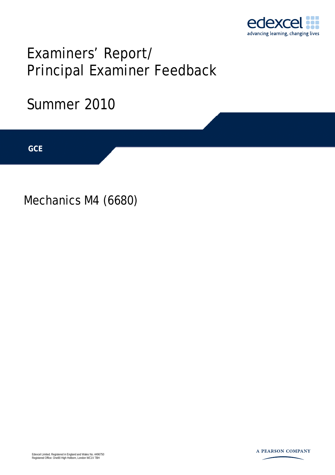

# Examiners' Report/ Principal Examiner Feedback

## Summer 2010

**IGCSE GCE** 

Mechanics M4 (6680)

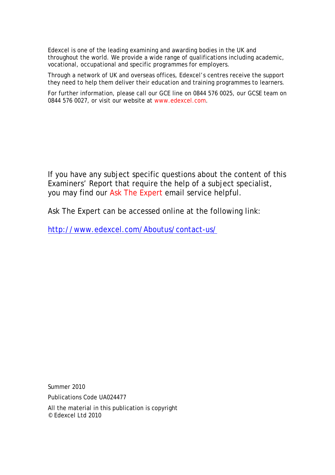Edexcel is one of the leading examining and awarding bodies in the UK and throughout the world. We provide a wide range of qualifications including academic, vocational, occupational and specific programmes for employers.

Through a network of UK and overseas offices, Edexcel's centres receive the support they need to help them deliver their education and training programmes to learners.

For further information, please call our GCE line on 0844 576 0025, our GCSE team on 0844 576 0027, or visit our website at www.edexcel.com.

If you have any subject specific questions about the content of this Examiners' Report that require the help of a subject specialist, you may find our Ask The Expert email service helpful.

Ask The Expert can be accessed online at the following link:

http://www.edexcel.com/Aboutus/contact-us/

Summer 2010

Publications Code UA024477

All the material in this publication is copyright © Edexcel Ltd 2010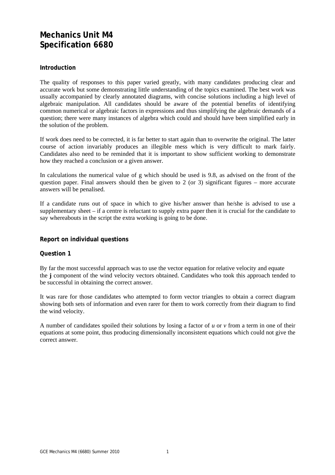### **Mechanics Unit M4 Specification 6680**

#### **Introduction**

The quality of responses to this paper varied greatly, with many candidates producing clear and accurate work but some demonstrating little understanding of the topics examined. The best work was usually accompanied by clearly annotated diagrams, with concise solutions including a high level of algebraic manipulation. All candidates should be aware of the potential benefits of identifying common numerical or algebraic factors in expressions and thus simplifying the algebraic demands of a question; there were many instances of algebra which could and should have been simplified early in the solution of the problem.

If work does need to be corrected, it is far better to start again than to overwrite the original. The latter course of action invariably produces an illegible mess which is very difficult to mark fairly. Candidates also need to be reminded that it is important to show sufficient working to demonstrate how they reached a conclusion or a given answer.

In calculations the numerical value of g which should be used is 9.8, as advised on the front of the question paper. Final answers should then be given to 2 (or 3) significant figures – more accurate answers will be penalised.

If a candidate runs out of space in which to give his/her answer than he/she is advised to use a supplementary sheet – if a centre is reluctant to supply extra paper then it is crucial for the candidate to say whereabouts in the script the extra working is going to be done.

#### **Report on individual questions**

#### **Question 1**

By far the most successful approach was to use the vector equation for relative velocity and equate the **j** component of the wind velocity vectors obtained. Candidates who took this approach tended to be successful in obtaining the correct answer.

It was rare for those candidates who attempted to form vector triangles to obtain a correct diagram showing both sets of information and even rarer for them to work correctly from their diagram to find the wind velocity.

A number of candidates spoiled their solutions by losing a factor of *u* or *v* from a term in one of their equations at some point, thus producing dimensionally inconsistent equations which could not give the correct answer.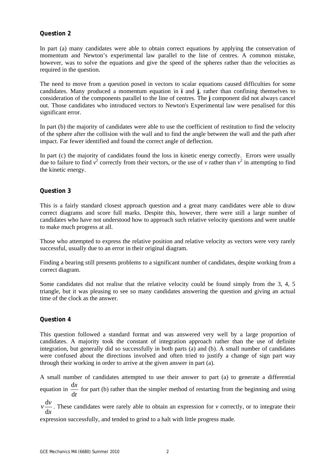#### **Question 2**

In part (a) many candidates were able to obtain correct equations by applying the conservation of momentum and Newton's experimental law parallel to the line of centres. A common mistake, however, was to solve the equations and give the speed of the spheres rather than the velocities as required in the question.

The need to move from a question posed in vectors to scalar equations caused difficulties for some candidates. Many produced a momentum equation in **i** and **j**, rather than confining themselves to consideration of the components parallel to the line of centres. The **j** component did not always cancel out. Those candidates who introduced vectors to Newton's Experimental law were penalised for this significant error.

In part (b) the majority of candidates were able to use the coefficient of restitution to find the velocity of the sphere after the collision with the wall and to find the angle between the wall and the path after impact. Far fewer identified and found the correct angle of deflection.

In part (c) the majority of candidates found the loss in kinetic energy correctly. Errors were usually due to failure to find  $v^2$  correctly from their vectors, or the use of *v* rather than  $v^2$  in attempting to find the kinetic energy.

#### **Question 3**

This is a fairly standard closest approach question and a great many candidates were able to draw correct diagrams and score full marks. Despite this, however, there were still a large number of candidates who have not understood how to approach such relative velocity questions and were unable to make much progress at all.

Those who attempted to express the relative position and relative velocity as vectors were very rarely successful, usually due to an error in their original diagram.

Finding a bearing still presents problems to a significant number of candidates, despite working from a correct diagram.

Some candidates did not realise that the relative velocity could be found simply from the 3, 4, 5 triangle, but it was pleasing to see so many candidates answering the question and giving an actual time of the clock as the answer.

#### **Question 4**

This question followed a standard format and was answered very well by a large proportion of candidates. A majority took the constant of integration approach rather than the use of definite integration, but generally did so successfully in both parts (a) and (b). A small number of candidates were confused about the directions involved and often tried to justify a change of sign part way through their working in order to arrive at the given answer in part (a).

A small number of candidates attempted to use their answer to part (a) to generate a differential equation in *t x* d  $\frac{dx}{dx}$  for part (b) rather than the simpler method of restarting from the beginning and using

*x*  $v \frac{dv}{dt}$ d  $\frac{dv}{dx}$ . These candidates were rarely able to obtain an expression for *v* correctly, or to integrate their

expression successfully, and tended to grind to a halt with little progress made.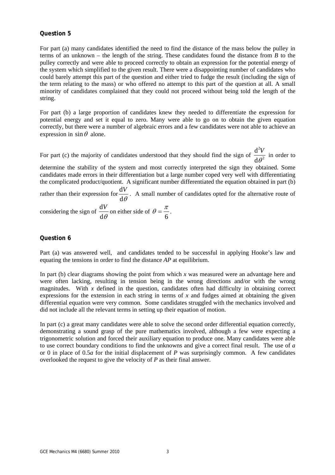#### **Question 5**

For part (a) many candidates identified the need to find the distance of the mass below the pulley in terms of an unknown – the length of the string. These candidates found the distance from *B* to the pulley correctly and were able to proceed correctly to obtain an expression for the potential energy of the system which simplified to the given result. There were a disappointing number of candidates who could barely attempt this part of the question and either tried to fudge the result (including the sign of the term relating to the mass) or who offered no attempt to this part of the question at all. A small minority of candidates complained that they could not proceed without being told the length of the string.

For part (b) a large proportion of candidates knew they needed to differentiate the expression for potential energy and set it equal to zero. Many were able to go on to obtain the given equation correctly, but there were a number of algebraic errors and a few candidates were not able to achieve an expression in  $\sin \theta$  alone.

For part (c) the majority of candidates understood that they should find the sign of  $\frac{d}{d\theta^2}$ 2 d d  $\frac{d^2V}{\theta^2}$  in order to

determine the stability of the system and most correctly interpreted the sign they obtained. Some candidates made errors in their differentiation but a large number coped very well with differentiating the complicated product/quotient. A significant number differentiated the equation obtained in part (b)

rather than their expression for  $\frac{d\theta}{d\theta}$  $\frac{dV}{dt}$ . A small number of candidates opted for the alternative route of

considering the sign of  $\frac{d\theta}{d\theta}$  $\frac{dV}{dt}$  on either side of 6  $\theta = \frac{\pi}{\cdot}$ .

#### **Question 6**

Part (a) was answered well, and candidates tended to be successful in applying Hooke's law and equating the tensions in order to find the distance *AP* at equilibrium.

In part (b) clear diagrams showing the point from which  $x$  was measured were an advantage here and were often lacking, resulting in tension being in the wrong directions and/or with the wrong magnitudes. With  $x$  defined in the question, candidates often had difficulty in obtaining correct expressions for the extension in each string in terms of  $x$  and fudges aimed at obtaining the given differential equation were very common. Some candidates struggled with the mechanics involved and did not include all the relevant terms in setting up their equation of motion.

In part (c) a great many candidates were able to solve the second order differential equation correctly, demonstrating a sound grasp of the pure mathematics involved, although a few were expecting a trigonometric solution and forced their auxiliary equation to produce one. Many candidates were able to use correct boundary conditions to find the unknowns and give a correct final result. The use of *a* or 0 in place of 0.5*a* for the initial displacement of *P* was surprisingly common. A few candidates overlooked the request to give the velocity of *P* as their final answer.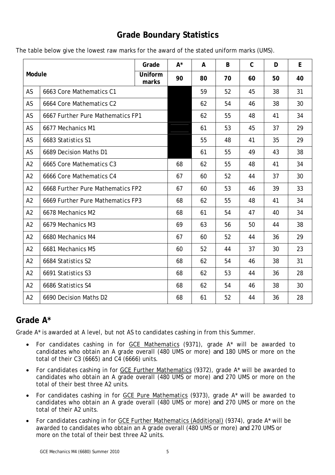## **Grade Boundary Statistics**

|  |  | The table below give the lowest raw marks for the award of the stated uniform marks (UMS). |
|--|--|--------------------------------------------------------------------------------------------|
|--|--|--------------------------------------------------------------------------------------------|

| Module         |                                   | Grade            | $A^*$ | A  | B  | $\mathsf C$ | D  | E  |
|----------------|-----------------------------------|------------------|-------|----|----|-------------|----|----|
|                |                                   | Uniform<br>marks | 90    | 80 | 70 | 60          | 50 | 40 |
| AS             | 6663 Core Mathematics C1          |                  |       | 59 | 52 | 45          | 38 | 31 |
| AS             | 6664 Core Mathematics C2          |                  |       | 62 | 54 | 46          | 38 | 30 |
| AS             | 6667 Further Pure Mathematics FP1 |                  |       | 62 | 55 | 48          | 41 | 34 |
| AS             | 6677 Mechanics M1                 |                  |       | 61 | 53 | 45          | 37 | 29 |
| AS             | 6683 Statistics S1                |                  |       | 55 | 48 | 41          | 35 | 29 |
| AS             | 6689 Decision Maths D1            |                  |       | 61 | 55 | 49          | 43 | 38 |
| A2             | 6665 Core Mathematics C3          |                  | 68    | 62 | 55 | 48          | 41 | 34 |
| A2             | 6666 Core Mathematics C4          |                  | 67    | 60 | 52 | 44          | 37 | 30 |
| A2             | 6668 Further Pure Mathematics FP2 |                  | 67    | 60 | 53 | 46          | 39 | 33 |
| A2             | 6669 Further Pure Mathematics FP3 |                  | 68    | 62 | 55 | 48          | 41 | 34 |
| A2             | 6678 Mechanics M2                 |                  | 68    | 61 | 54 | 47          | 40 | 34 |
| A2             | 6679 Mechanics M3                 |                  | 69    | 63 | 56 | 50          | 44 | 38 |
| A2             | 6680 Mechanics M4                 |                  | 67    | 60 | 52 | 44          | 36 | 29 |
| A2             | 6681 Mechanics M5                 |                  | 60    | 52 | 44 | 37          | 30 | 23 |
| A2             | 6684 Statistics S2                |                  | 68    | 62 | 54 | 46          | 38 | 31 |
| A2             | 6691 Statistics S3                |                  | 68    | 62 | 53 | 44          | 36 | 28 |
| A <sub>2</sub> | 6686 Statistics S4                |                  | 68    | 62 | 54 | 46          | 38 | 30 |
| A2             | 6690 Decision Maths D2            |                  | 68    | 61 | 52 | 44          | 36 | 28 |

## **Grade A\***

Grade A\* is awarded at A level, but not AS to candidates cashing in from this Summer.

- For candidates cashing in for GCE Mathematics (9371), grade A\* will be awarded to candidates who obtain an A grade overall (480 UMS or more) *and* 180 UMS or more on the total of their C3 (6665) and C4 (6666) units.
- For candidates cashing in for GCE Further Mathematics (9372), grade A\* will be awarded to candidates who obtain an A grade overall (480 UMS or more) *and* 270 UMS or more on the total of their best three A2 units.
- For candidates cashing in for GCE Pure Mathematics (9373), grade A\* will be awarded to candidates who obtain an A grade overall (480 UMS or more) *and* 270 UMS or more on the total of their A2 units.
- For candidates cashing in for GCE Further Mathematics (Additional) (9374), grade A\* will be awarded to candidates who obtain an A grade overall (480 UMS or more) *and* 270 UMS or more on the total of their best three A2 units.